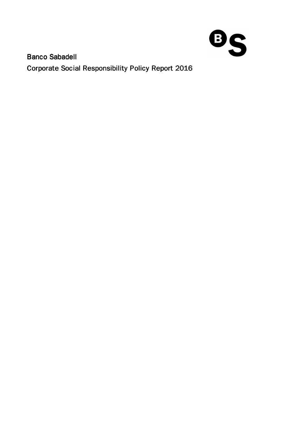

**Banco Sabadell** Corporate Social Responsibility Policy Report 2016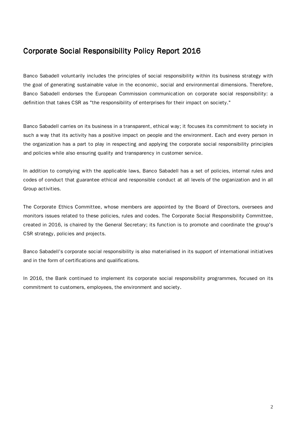# Corporate Social Responsibility Policy Report 2016

Banco Sabadell voluntarily includes the principles of social responsibility within its business strategy with the goal of generating sustainable value in the economic, social and environmental dimensions. Therefore, Banco Sabadell endorses the European Commission communication on corporate social responsibility: a definition that takes CSR as "the responsibility of enterprises for their impact on society."

Banco Sabadell carries on its business in a transparent, ethical way; it focuses its commitment to society in such a way that its activity has a positive impact on people and the environment. Each and every person in the organization has a part to play in respecting and applying the corporate social responsibility principles and policies while also ensuring quality and transparency in customer service.

In addition to complying with the applicable laws, Banco Sabadell has a set of policies, internal rules and codes of conduct that guarantee ethical and responsible conduct at all levels of the organization and in all Group activities.

The Corporate Ethics Committee, whose members are appointed by the Board of Directors, oversees and monitors issues related to these policies, rules and codes. The Corporate Social Responsibility Committee, created in 2016, is chaired by the General Secretary; its function is to promote and coordinate the group's CSR strategy, policies and projects.

Banco Sabadell's corporate social responsibility is also materialised in its support of international initiatives and in the form of certifications and qualifications.

In 2016, the Bank continued to implement its corporate social responsibility programmes, focused on its commitment to customers, employees, the environment and society.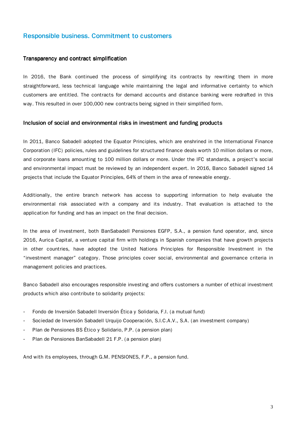# Responsible business. Commitment to customers

#### Transparency and contract simplification

In 2016, the Bank continued the process of simplifying its contracts by rewriting them in more straightforward, less technical language while maintaining the legal and informative certainty to which customers are entitled. The contracts for demand accounts and distance banking were redrafted in this way. This resulted in over 100,000 new contracts being signed in their simplified form.

#### Inclusion of social and environmental risks in investment and funding products

In 2011, Banco Sabadell adopted the Equator Principles, which are enshrined in the International Finance Corporation (IFC) policies, rules and guidelines for structured finance deals worth 10 million dollars or more, and corporate loans amounting to 100 million dollars or more. Under the IFC standards, a project's social and environmental impact must be reviewed by an independent expert. In 2016, Banco Sabadell signed 14 projects that include the Equator Principles, 64% of them in the area of renewable energy.

Additionally, the entire branch network has access to supporting information to help evaluate the environmental risk associated with a company and its industry. That evaluation is attached to the application for funding and has an impact on the final decision.

In the area of investment, both BanSabadell Pensiones EGFP, S.A., a pension fund operator, and, since 2016, Aurica Capital, a venture capital firm with holdings in Spanish companies that have growth projects in other countries, have adopted the United Nations Principles for Responsible Investment in the "investment manager" category. Those principles cover social, environmental and governance criteria in management policies and practices.

Banco Sabadell also encourages responsible investing and offers customers a number of ethical investment products which also contribute to solidarity projects:

- Fondo de Inversión Sabadell Inversión Ética y Solidaria, F.I. (a mutual fund)
- Sociedad de Inversión Sabadell Urquijo Cooperación, S.I.C.A.V., S.A. (an investment company)
- Plan de Pensiones BS Ético y Solidario, P.P. (a pension plan)
- Plan de Pensiones BanSabadell 21 F.P. (a pension plan)

And with its employees, through G.M. PENSIONES, F.P., a pension fund.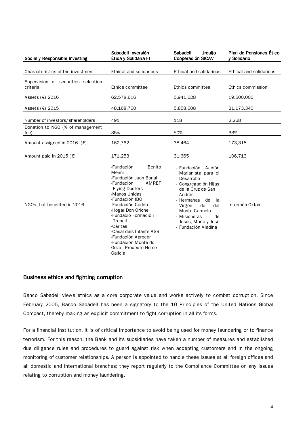| <b>Socially Responsible Investing</b>           | Sabadell Inversión<br>Ética y Solidaria Fl                                                                                                                                                                                                                                                                                                    | <b>Sabadell</b><br><b>Urquijo</b><br>Cooperación SICAV                                                                                                                                                                                                 | Plan de Pensiones Ético<br>v Solidario |
|-------------------------------------------------|-----------------------------------------------------------------------------------------------------------------------------------------------------------------------------------------------------------------------------------------------------------------------------------------------------------------------------------------------|--------------------------------------------------------------------------------------------------------------------------------------------------------------------------------------------------------------------------------------------------------|----------------------------------------|
| Characteristics of the investment               | Ethical and solidarious                                                                                                                                                                                                                                                                                                                       | Ethical and solidarious                                                                                                                                                                                                                                | Ethical and solidarious                |
| Supervision of securities selection<br>criteria | Ethics committee                                                                                                                                                                                                                                                                                                                              | Ethics committee                                                                                                                                                                                                                                       | Ethics commission                      |
| Assets $(€)$ 2016                               | 62,578,616                                                                                                                                                                                                                                                                                                                                    | 5,941,628                                                                                                                                                                                                                                              | 19,500,000                             |
| Assets $(\epsilon)$ 2015                        | 48,168,760                                                                                                                                                                                                                                                                                                                                    | 5,858,608                                                                                                                                                                                                                                              | 21,173,340                             |
| Number of investors/shareholders                | 491                                                                                                                                                                                                                                                                                                                                           | 118                                                                                                                                                                                                                                                    | 2.268                                  |
| Donation to NGO (% of management<br>fee)        | 35%                                                                                                                                                                                                                                                                                                                                           | 50%                                                                                                                                                                                                                                                    | 33%                                    |
| Amount assigned in 2016 ( $\epsilon$ )          | 162,762                                                                                                                                                                                                                                                                                                                                       | 38,464                                                                                                                                                                                                                                                 | 173,318                                |
| Amount paid in 2015 ( $\epsilon$ )              | 171,253                                                                                                                                                                                                                                                                                                                                       | 31,665                                                                                                                                                                                                                                                 | 106,713                                |
| NGOs that benefited in 2016                     | Benito<br>-Fundación<br>Menni<br>-Fundación Juan Bonal<br>-Fundación<br>AMREF<br><b>Flying Doctors</b><br>-Manos Unidas<br>-Fundación IBO<br>-Fundación Cadete<br>-Hogar Don Orione<br>-Fundació Formació i<br>Treball<br>-Cáritas<br>-Casal dels Infants ASB<br>-Fundación Aprocor<br>-Fundación Monte do<br>Gozo - Proxecto Home<br>Galicia | - Fundación<br>Acción<br>Marianista para el<br>Desarrollo<br>- Congregación Hijas<br>de la Cruz de San<br>Andrés<br>- Hermanas<br>de<br>la<br>Virgen<br>de<br>del<br>Monte Carmelo<br>- Misioneras<br>de<br>Jesús, María y José<br>- Fundación Aladina | Intermón Oxfam                         |

### Business ethics and fighting corruption

Banco Sabadell views ethics as a core corporate value and works actively to combat corruption. Since February 2005, Banco Sabadell has been a signatory to the 10 Principles of the United Nations Global Compact, thereby making an explicit commitment to fight corruption in all its forms.

For a financial institution, it is of critical importance to avoid being used for money laundering or to finance terrorism. For this reason, the Bank and its subsidiaries have taken a number of measures and established due diligence rules and procedures to guard against risk when accepting customers and in the ongoing monitoring of customer relationships. A person is appointed to handle these issues at all foreign offices and all domestic and international branches; they report regularly to the Compliance Committee on any issues relating to corruption and money laundering.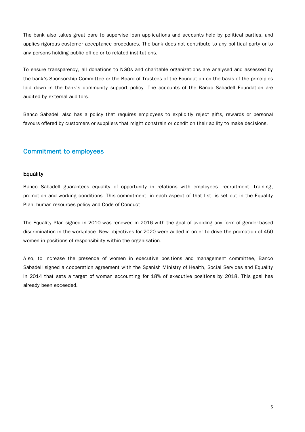The bank also takes great care to supervise loan applications and accounts held by political parties, and applies rigorous customer acceptance procedures. The bank does not contribute to any political party or to any persons holding public office or to related institutions.

To ensure transparency, all donations to NGOs and charitable organizations are analysed and assessed by the bank's Sponsorship Committee or the Board of Trustees of the Foundation on the basis of the principles laid down in the bank's community support policy. The accounts of the Banco Sabadell Foundation are audited by external auditors.

Banco Sabadell also has a policy that requires employees to explicitly reject gifts, rewards or personal favours offered by customers or suppliers that might constrain or condition their ability to make decisions.

# **Commitment to employees**

#### **Equality**

Banco Sabadell guarantees equality of opportunity in relations with employees: recruitment, training, promotion and working conditions. This commitment, in each aspect of that list, is set out in the Equality Plan, human resources policy and Code of Conduct.

The Equality Plan signed in 2010 was renewed in 2016 with the goal of avoiding any form of gender-based discrimination in the workplace. New objectives for 2020 were added in order to drive the promotion of 450 women in positions of responsibility within the organisation.

Also, to increase the presence of women in executive positions and management committee, Banco Sabadell signed a cooperation agreement with the Spanish Ministry of Health, Social Services and Equality in 2014 that sets a target of woman accounting for 18% of executive positions by 2018. This goal has already been exceeded.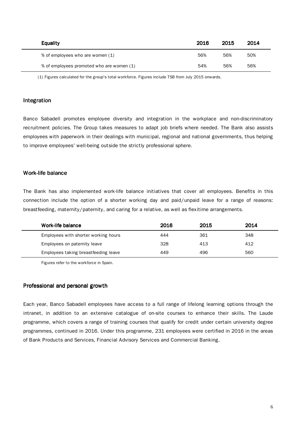| <b>Equality</b>                           | 2016 | 2015 | 2014 |
|-------------------------------------------|------|------|------|
| % of employees who are women (1)          | 56%  | 56%  | 50%  |
| % of employees promoted who are women (1) | 54%  | 56%  | 56%  |

(1) Figures calculated for the group's total workforce. Figures include TSB from July 2015 onwards.

#### Integration

Banco Sabadell promotes employee diversity and integration in the workplace and non-discriminatory recruitment policies. The Group takes measures to adapt job briefs where needed. The Bank also assists employees with paperwork in their dealings with municipal, regional and national governments, thus helping to improve employees' well-being outside the strictly professional sphere.

#### Work-life balance

The Bank has also implemented work-life balance initiatives that cover all employees. Benefits in this connection include the option of a shorter working day and paid/unpaid leave for a range of reasons: breastfeeding, maternity/paternity, and caring for a relative, as well as flexitime arrangements.

| Work-life balance                    | 2016 | 2015 | 2014 |
|--------------------------------------|------|------|------|
| Employees with shorter working hours | 444  | 361  | 348  |
| Employees on paternity leave         | 328  | 413  | 412  |
| Employees taking breastfeeding leave | 449  | 496  | 560  |

Figures refer to the workforce in Spain.

### Professional and personal growth

Each year, Banco Sabadell employees have access to a full range of lifelong learning options through the intranet, in addition to an extensive catalogue of on-site courses to enhance their skills. The Laude programme, which covers a range of training courses that qualify for credit under certain university degree programmes, continued in 2016. Under this programme, 231 employees were certified in 2016 in the areas of Bank Products and Services, Financial Advisory Services and Commercial Banking.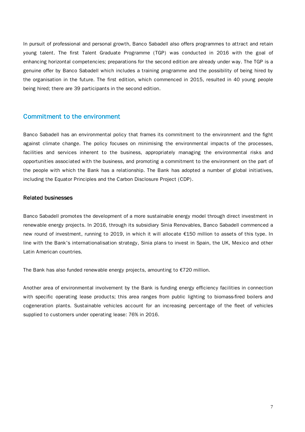In pursuit of professional and personal growth, Banco Sabadell also offers programmes to attract and retain young talent. The first Talent Graduate Programme (TGP) was conducted in 2016 with the goal of enhancing horizontal competencies; preparations for the second edition are already under way. The TGP is a genuine offer by Banco Sabadell which includes a training programme and the possibility of being hired by the organisation in the future. The first edition, which commenced in 2015, resulted in 40 young people being hired; there are 39 participants in the second edition.

### Commitment to the environment

Banco Sabadell has an environmental policy that frames its commitment to the environment and the fight against climate change. The policy focuses on minimising the environmental impacts of the processes, facilities and services inherent to the business, appropriately managing the environmental risks and opportunities associated with the business, and promoting a commitment to the environment on the part of the people with which the Bank has a relationship. The Bank has adopted a number of global initiatives, including the Equator Principles and the Carbon Disclosure Project (CDP).

#### **Related businesses**

Banco Sabadell promotes the development of a more sustainable energy model through direct investment in renewable energy projects. In 2016, through its subsidiary Sinia Renovables, Banco Sabadell commenced a new round of investment, running to 2019, in which it will allocate €150 million to assets of this type. In line with the Bank's internationalisation strategy, Sinia plans to invest in Spain, the UK, Mexico and other Latin American countries.

The Bank has also funded renewable energy projects, amounting to €720 million.

Another area of environmental involvement by the Bank is funding energy efficiency facilities in connection with specific operating lease products; this area ranges from public lighting to biomass-fired boilers and cogeneration plants. Sustainable vehicles account for an increasing percentage of the fleet of vehicles supplied to customers under operating lease: 76% in 2016.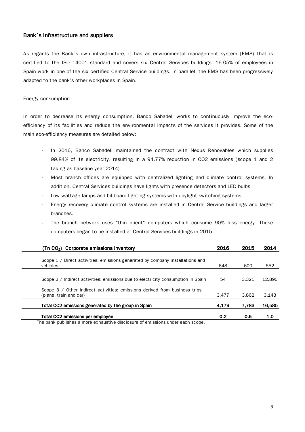#### Bank´s Infrastructure and suppliers

As regards the Bank´s own infrastructure, it has an environmental management system (EMS) that is certified to the ISO 14001 standard and covers six Central Services buildings. 16.05% of employees in Spain work in one of the six certified Central Service buildings. In parallel, the EMS has been progressively adapted to the bank's other workplaces in Spain.

#### Energy consumption

In order to decrease its energy consumption, Banco Sabadell works to continuously improve the ecoefficiency of its facilities and reduce the environmental impacts of the services it provides. Some of the main eco-efficiency measures are detailed below:

- In 2016, Banco Sabadell maintained the contract with Nexus Renovables which supplies 99.84% of its electricity, resulting in a 94.77% reduction in CO2 emissions (scope 1 and 2 taking as baseline year 2014).
- Most branch offices are equipped with centralized lighting and climate control systems. In addition, Central Services buildings have lights with presence detectors and LED bulbs.
- Low wattage lamps and billboard lighting systems with daylight switching systems.
- Energy recovery climate control systems are installed in Central Service buildings and larger branches.
- The branch network uses "thin client" computers which consume 90% less energy. These computers began to be installed at Central Services buildings in 2015.

| (Tn $CO2$ ) Corporate emissions inventory                                                 | 2016  | 2015  | 2014   |
|-------------------------------------------------------------------------------------------|-------|-------|--------|
|                                                                                           |       |       |        |
| Scope 1 / Direct activities: emissions generated by company installations and<br>vehicles | 648   | 600   | 552    |
|                                                                                           |       |       |        |
| Scope 2 / Indirect activities: emissions due to electricity consumption in Spain          | 54    | 3.321 | 12,890 |
| Scope 3 / Other indirect activities: emissions derived from business trips                |       |       |        |
| (plane, train and car)                                                                    | 3.477 | 3.862 | 3,143  |
| Total CO2 emissions generated by the group in Spain                                       | 4,179 | 7.783 | 16,585 |
| Total CO2 emissions per employee                                                          | 0.2   | 0.5   | 1.0    |
| The bank publishes a more exhaustive disclosure of emissions under each scope             |       |       |        |

The bank publishes a more exhaustive disclosure of emissions under each scope.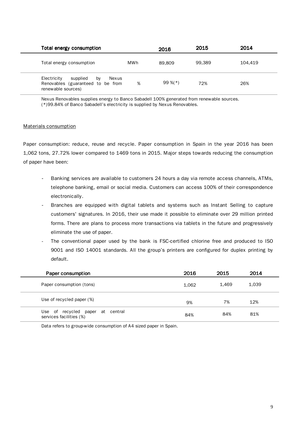| Total energy consumption                                                                          |     | 2016        | 2015   | 2014    |
|---------------------------------------------------------------------------------------------------|-----|-------------|--------|---------|
| Total energy consumption                                                                          | MWh | 89,809      | 99.389 | 104.419 |
| Electricity<br>supplied<br>Nexus<br>bv<br>Renovables (guaranteed to be from<br>renewable sources) | %   | 99 %( $*$ ) | 72%    | 26%     |

Nexus Renovables supplies energy to Banco Sabadell 100% generated from renewable sources. (\*)99.84% of Banco Sabadell's electricity is supplied by Nexus Renovables.

#### Materials consumption

Paper consumption: reduce, reuse and recycle. Paper consumption in Spain in the year 2016 has been 1,062 tons, 27.72% lower compared to 1469 tons in 2015. Major steps towards reducing the consumption of paper have been:

- Banking services are available to customers 24 hours a day via remote access channels, ATMs, telephone banking, email or social media. Customers can access 100% of their correspondence electronically.
- Branches are equipped with digital tablets and systems such as Instant Selling to capture customers' signatures. In 2016, their use made it possible to eliminate over 29 million printed forms. There are plans to process more transactions via tablets in the future and progressively eliminate the use of paper.
- The conventional paper used by the bank is FSC-certified chlorine free and produced to ISO 9001 and ISO 14001 standards. All the group's printers are configured for duplex printing by default.

| Paper consumption                                           | 2016  | 2015  | 2014  |
|-------------------------------------------------------------|-------|-------|-------|
| Paper consumption (tons)                                    | 1,062 | 1.469 | 1.039 |
| Use of recycled paper (%)                                   | 9%    | 7%    | 12%   |
| Use of recycled paper at central<br>services facilities (%) | 84%   | 84%   | 81%   |

Data refers to group-wide consumption of A4 sized paper in Spain.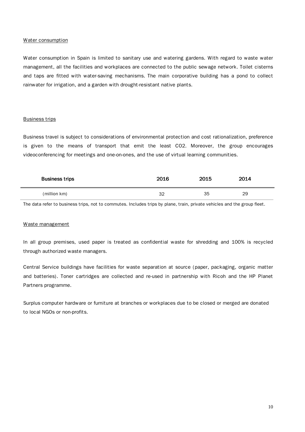#### Water consumption

Water consumption in Spain is limited to sanitary use and watering gardens. With regard to waste water management, all the facilities and workplaces are connected to the public sewage network. Toilet cisterns and taps are fitted with water-saving mechanisms. The main corporative building has a pond to collect rainwater for irrigation, and a garden with drought-resistant native plants.

#### Business trips

Business travel is subject to considerations of environmental protection and cost rationalization, preference is given to the means of transport that emit the least CO2. Moreover, the group encourages videoconferencing for meetings and one-on-ones, and the use of virtual learning communities.

| <b>Business trips</b> | 2016 | 2015 | 2014 |  |
|-----------------------|------|------|------|--|
| (million km)          | 32   | 35   | 29   |  |

The data refer to business trips, not to commutes. Includes trips by plane, train, private vehicles and the group fleet.

#### Waste management

In all group premises, used paper is treated as confidential waste for shredding and 100% is recycled through authorized waste managers.

Central Service buildings have facilities for waste separation at source (paper, packaging, organic matter and batteries). Toner cartridges are collected and re-used in partnership with Ricoh and the HP Planet Partners programme.

Surplus computer hardware or furniture at branches or workplaces due to be closed or merged are donated to local NGOs or non-profits.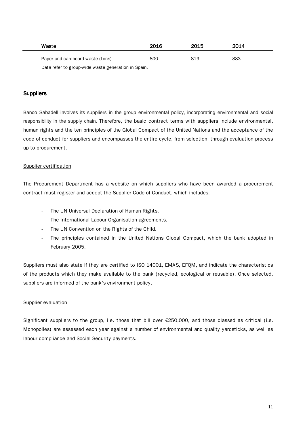| Waste                                               | 2016 | 2015 | 2014 |
|-----------------------------------------------------|------|------|------|
| Paper and cardboard waste (tons)                    | 800  | 819  | 883  |
| Data refer to group-wide waste generation in Spain. |      |      |      |

### **Suppliers**

Banco Sabadell involves its suppliers in the group environmental policy, incorporating environmental and social responsibility in the supply chain. Therefore, the basic contract terms with suppliers include environmental, human rights and the ten principles of the Global Compact of the United Nations and the acceptance of the code of conduct for suppliers and encompasses the entire cycle, from selection, through evaluation process up to procurement.

#### Supplier certification

The Procurement Department has a website on which suppliers who have been awarded a procurement contract must register and accept the Supplier Code of Conduct, which includes:

- The UN Universal Declaration of Human Rights.
- The International Labour Organisation agreements.
- The UN Convention on the Rights of the Child.
- The principles contained in the United Nations Global Compact, which the bank adopted in February 2005.

Suppliers must also state if they are certified to ISO 14001, EMAS, EFQM, and indicate the characteristics of the products which they make available to the bank (recycled, ecological or reusable). Once selected, suppliers are informed of the bank's environment policy.

#### Supplier evaluation

Significant suppliers to the group, i.e. those that bill over €250,000, and those classed as critical (i.e. Monopolies) are assessed each year against a number of environmental and quality yardsticks, as well as labour compliance and Social Security payments.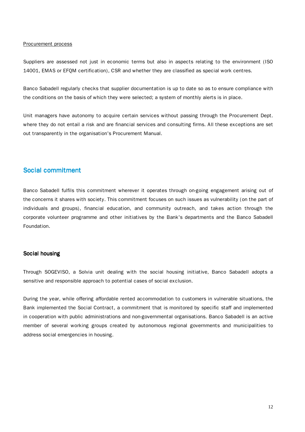#### Procurement process

Suppliers are assessed not just in economic terms but also in aspects relating to the environment (ISO 14001, EMAS or EFQM certification), CSR and whether they are classified as special work centres.

Banco Sabadell regularly checks that supplier documentation is up to date so as to ensure compliance with the conditions on the basis of which they were selected; a system of monthly alerts is in place.

Unit managers have autonomy to acquire certain services without passing through the Procurement Dept. where they do not entail a risk and are financial services and consulting firms. All these exceptions are set out transparently in the organisation's Procurement Manual.

# Social commitment

Banco Sabadell fulfils this commitment wherever it operates through on-going engagement arising out of the concerns it shares with society. This commitment focuses on such issues as vulnerability (on the part of individuals and groups), financial education, and community outreach, and takes action through the corporate volunteer programme and other initiatives by the Bank's departments and the Banco Sabadell Foundation.

#### Social housing

Through SOGEVISO, a Solvia unit dealing with the social housing initiative, Banco Sabadell adopts a sensitive and responsible approach to potential cases of social exclusion.

During the year, while offering affordable rented accommodation to customers in vulnerable situations, the Bank implemented the Social Contract, a commitment that is monitored by specific staff and implemented in cooperation with public administrations and non-governmental organisations. Banco Sabadell is an active member of several working groups created by autonomous regional governments and municipalities to address social emergencies in housing.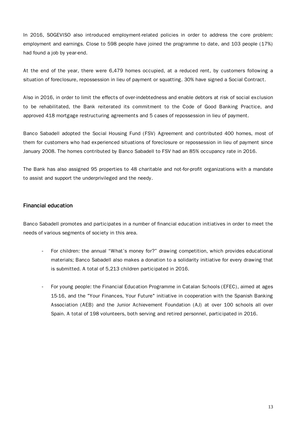In 2016, SOGEVISO also introduced employment-related policies in order to address the core problem: employment and earnings. Close to 598 people have joined the programme to date, and 103 people (17%) had found a job by year-end.

At the end of the year, there were 6,479 homes occupied, at a reduced rent, by customers following a situation of foreclosure, repossession in lieu of payment or squatting. 30% have signed a Social Contract.

Also in 2016, in order to limit the effects of over-indebtedness and enable debtors at risk of social exclusion to be rehabilitated, the Bank reiterated its commitment to the Code of Good Banking Practice, and approved 418 mortgage restructuring agreements and 5 cases of repossession in lieu of payment.

Banco Sabadell adopted the Social Housing Fund (FSV) Agreement and contributed 400 homes, most of them for customers who had experienced situations of foreclosure or repossession in lieu of payment since January 2008. The homes contributed by Banco Sabadell to FSV had an 85% occupancy rate in 2016.

The Bank has also assigned 95 properties to 48 charitable and not-for-profit organizations with a mandate to assist and support the underprivileged and the needy.

# Financial education Financial education

Banco Sabadell promotes and participates in a number of financial education initiatives in order to meet the needs of various segments of society in this area.

- For children: the annual "What's money for?" drawing competition, which provides educational materials; Banco Sabadell also makes a donation to a solidarity initiative for every drawing that is submitted. A total of 5,213 children participated in 2016.
- For young people: the Financial Education Programme in Catalan Schools (EFEC), aimed at ages 15-16, and the "Your Finances, Your Future" initiative in cooperation with the Spanish Banking Association (AEB) and the Junior Achievement Foundation (AJ) at over 100 schools all over Spain. A total of 198 volunteers, both serving and retired personnel, participated in 2016.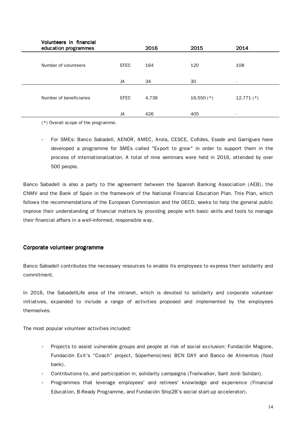| Volunteers in financial<br>education programmes |             | 2016  | 2015         | 2014         |  |
|-------------------------------------------------|-------------|-------|--------------|--------------|--|
| Number of volunteers                            | <b>EFEC</b> | 164   | 120          | 108          |  |
|                                                 | JA          | 34    | 30           | $\sim$       |  |
| Number of beneficiaries                         | <b>EFEC</b> | 4,736 | $16,550$ (*) | $12,771$ (*) |  |
|                                                 | JA          | 426   | 405          |              |  |

(\*) Overall scope of the programme.

- For SMEs: Banco Sabadell, AENOR, AMEC, Arola, CESCE, Cofides, Esade and Garrigues have developed a programme for SMEs called "Export to grow" in order to support them in the process of internationalization. A total of nine seminars were held in 2016, attended by over 500 people.

Banco Sabadell is also a party to the agreement between the Spanish Banking Association (AEB), the CNMV and the Bank of Spain in the framework of the National Financial Education Plan. This Plan, which follows the recommendations of the European Commission and the OECD, seeks to help the general public improve their understanding of financial matters by providing people with basic skills and tools to manage their financial affairs in a well-informed, responsible way.

## Corporate volunteer programme

Banco Sabadell contributes the necessary resources to enable its employees to express their solidarity and commitment.

In 2016, the SabadellLife area of the intranet, which is devoted to solidarity and corporate volunteer initiatives, expanded to include a range of activities proposed and implemented by the employees themselves.

The most popular volunteer activities included:

- Projects to assist vulnerable groups and people at risk of social exclusion: Fundación Magone, Fundación Exit's "Coach" project, Súperheroi(nes) BCN DAY and Banco de Alimentos (food bank).
- Contributions to, and participation in, solidarity campaigns (Trailwalker, Sant Jordi Solidari).
- Programmes that leverage employees' and retirees' knowledge and experience (Financial Education, B-Ready Programme, and Fundación Ship2B's social start-up accelerator).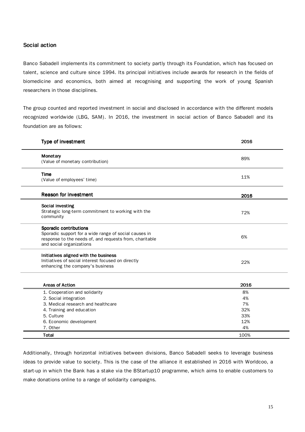### Social action

Banco Sabadell implements its commitment to society partly through its Foundation, which has focused on talent, science and culture since 1994. Its principal initiatives include awards for research in the fields of biomedicine and economics, both aimed at recognising and supporting the work of young Spanish researchers in those disciplines.

The group counted and reported investment in social and disclosed in accordance with the different models recognized worldwide (LBG, SAM). In 2016, the investment in social action of Banco Sabadell and its foundation are as follows:

| Type of investment                                                                                                                                                            | 2016 |
|-------------------------------------------------------------------------------------------------------------------------------------------------------------------------------|------|
| Monetary<br>(Value of monetary contribution)                                                                                                                                  | 89%  |
| Time<br>(Value of employees' time)                                                                                                                                            | 11%  |
| <b>Reason for investment</b>                                                                                                                                                  | 2016 |
| Social investing<br>Strategic long-term commitment to working with the<br>community                                                                                           | 72%  |
| <b>Sporadic contributions</b><br>Sporadic support for a wide range of social causes in<br>response to the needs of, and requests from, charitable<br>and social organizations | 6%   |
| Initiatives aligned with the business<br>Initiatives of social interest focused on directly<br>enhancing the company's business                                               | 22%  |
| <b>Areas of Action</b>                                                                                                                                                        | 2016 |
| 1. Cooperation and solidarity                                                                                                                                                 | 8%   |
| 2. Social integration                                                                                                                                                         | 4%   |
| 3. Medical research and healthcare                                                                                                                                            | 7%   |
| 4. Training and education                                                                                                                                                     | 32%  |
| 5. Culture                                                                                                                                                                    | 33%  |
| 6. Economic development                                                                                                                                                       | 12%  |
| 7. Other                                                                                                                                                                      | 4%   |
| <b>Total</b>                                                                                                                                                                  | 100% |

Additionally, through horizontal initiatives between divisions, Banco Sabadell seeks to leverage business ideas to provide value to society. This is the case of the alliance it established in 2016 with Worldcoo, a start-up in which the Bank has a stake via the BStartup10 programme, which aims to enable customers to make donations online to a range of solidarity campaigns.